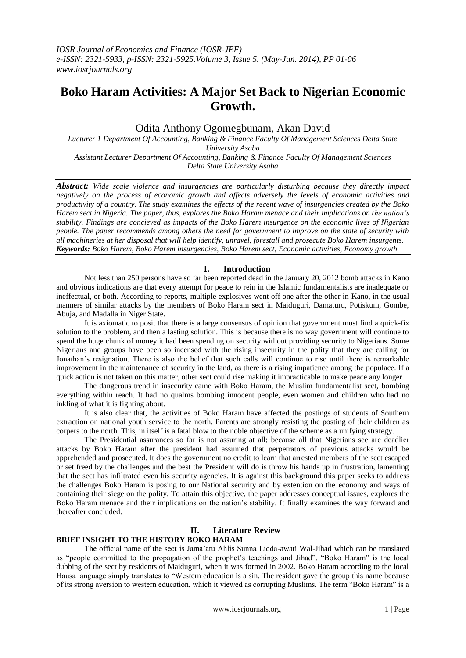# **Boko Haram Activities: A Major Set Back to Nigerian Economic Growth.**

# Odita Anthony Ogomegbunam, Akan David

*Lucturer 1 Department Of Accounting, Banking & Finance Faculty Of Management Sciences Delta State University Asaba Assistant Lecturer Department Of Accounting, Banking & Finance Faculty Of Management Sciences*

*Delta State University Asaba*

*Abstract: Wide scale violence and insurgencies are particularly disturbing because they directly impact negatively on the process of economic growth and affects adversely the levels of economic activities and productivity of a country. The study examines the effects of the recent wave of insurgencies created by the Boko Harem sect in Nigeria. The paper, thus, explores the Boko Haram menace and their implications on the nation's stability. Findings are concieved as impacts of the Boko Harem insurgence on the economic lives of Nigerian people. The paper recommends among others the need for government to improve on the state of security with all machineries at her disposal that will help identify, unravel, forestall and prosecute Boko Harem insurgents. Keywords: Boko Harem, Boko Harem insurgencies, Boko Harem sect, Economic activities, Economy growth.* 

# **I. Introduction**

Not less than 250 persons have so far been reported dead in the January 20, 2012 bomb attacks in Kano and obvious indications are that every attempt for peace to rein in the Islamic fundamentalists are inadequate or ineffectual, or both. According to reports, multiple explosives went off one after the other in Kano, in the usual manners of similar attacks by the members of Boko Haram sect in Maiduguri, Damaturu, Potiskum, Gombe, Abuja, and Madalla in Niger State.

It is axiomatic to posit that there is a large consensus of opinion that government must find a quick-fix solution to the problem, and then a lasting solution. This is because there is no way government will continue to spend the huge chunk of money it had been spending on security without providing security to Nigerians. Some Nigerians and groups have been so incensed with the rising insecurity in the polity that they are calling for Jonathan's resignation. There is also the belief that such calls will continue to rise until there is remarkable improvement in the maintenance of security in the land, as there is a rising impatience among the populace. If a quick action is not taken on this matter, other sect could rise making it impracticable to make peace any longer.

The dangerous trend in insecurity came with Boko Haram, the Muslim fundamentalist sect, bombing everything within reach. It had no qualms bombing innocent people, even women and children who had no inkling of what it is fighting about.

It is also clear that, the activities of Boko Haram have affected the postings of students of Southern extraction on national youth service to the north. Parents are strongly resisting the posting of their children as corpers to the north. This, in itself is a fatal blow to the noble objective of the scheme as a unifying strategy.

The Presidential assurances so far is not assuring at all; because all that Nigerians see are deadlier attacks by Boko Haram after the president had assumed that perpetrators of previous attacks would be apprehended and prosecuted. It does the government no credit to learn that arrested members of the sect escaped or set freed by the challenges and the best the President will do is throw his hands up in frustration, lamenting that the sect has infiltrated even his security agencies. It is against this background this paper seeks to address the challenges Boko Haram is posing to our National security and by extention on the economy and ways of containing their siege on the polity. To attain this objective, the paper addresses conceptual issues, explores the Boko Haram menace and their implications on the nation's stability. It finally examines the way forward and thereafter concluded.

# **II. Literature Review**

# **BRIEF INSIGHT TO THE HISTORY BOKO HARAM**

The official name of the sect is Jama'atu Ahlis Sunna Lidda-awati Wal-Jihad which can be translated as "people committed to the propagation of the prophet's teachings and Jihad". "Boko Haram" is the local dubbing of the sect by residents of Maiduguri, when it was formed in 2002. Boko Haram according to the local Hausa language simply translates to "Western education is a sin. The resident gave the group this name because of its strong aversion to western education, which it viewed as corrupting Muslims. The term "Boko Haram" is a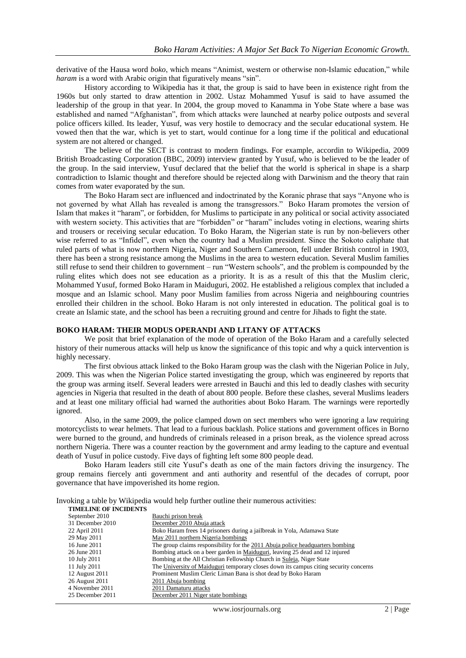derivative of the Hausa word *boko*, which means "Animist, western or otherwise non-Islamic education," while *haram* is a word with Arabic origin that figuratively means "sin".

History according to Wikipedia has it that, the group is said to have been in existence right from the 1960s but only started to draw attention in 2002. Ustaz Mohammed Yusuf is said to have assumed the leadership of the group in that year. In 2004, the group moved to Kanamma in Yobe State where a base was established and named "Afghanistan", from which attacks were launched at nearby police outposts and several police officers killed. Its leader, Yusuf, was very hostile to democracy and the secular educational system. He vowed then that the war, which is yet to start, would continue for a long time if the political and educational system are not altered or changed.

The believe of the SECT is contrast to modern findings. For example, accordin to Wikipedia, 2009 British Broadcasting Corporation (BBC, 2009) interview granted by Yusuf, who is believed to be the leader of the group. In the said interview, Yusuf declared that the belief that the world is spherical in shape is a sharp contradiction to Islamic thought and therefore should be rejected along with Darwinism and the theory that rain comes from water evaporated by the sun.

The Boko Haram sect are influenced and indoctrinated by the Koranic phrase that says "Anyone who is not governed by what Allah has revealed is among the transgressors." Boko Haram promotes the version of Islam that makes it "haram", or forbidden, for Muslims to participate in any political or social activity associated with western society. This activities that are "forbidden" or "haram" includes voting in elections, wearing shirts and trousers or receiving secular education. To Boko Haram, the Nigerian state is run by non-believers other wise referred to as "Infidel", even when the country had a Muslim president. Since the Sokoto caliphate that ruled parts of what is now northern Nigeria, Niger and Southern Cameroon, fell under British control in 1903, there has been a strong resistance among the Muslims in the area to western education. Several Muslim families still refuse to send their children to government – run "Western schools", and the problem is compounded by the ruling elites which does not see education as a priority. It is as a result of this that the Muslim cleric, Mohammed Yusuf, formed Boko Haram in Maiduguri, 2002. He established a religious complex that included a mosque and an Islamic school. Many poor Muslim families from across Nigeria and neighbouring countries enrolled their children in the school. Boko Haram is not only interested in education. The political goal is to create an Islamic state, and the school has been a recruiting ground and centre for Jihads to fight the state.

## **BOKO HARAM: THEIR MODUS OPERANDI AND LITANY OF ATTACKS**

We posit that brief explanation of the mode of operation of the Boko Haram and a carefully selected history of their numerous attacks will help us know the significance of this topic and why a quick intervention is highly necessary.

The first obvious attack linked to the Boko Haram group was the clash with the Nigerian Police in July, 2009. This was when the Nigerian Police started investigating the group, which was engineered by reports that the group was arming itself. Several leaders were arrested in Bauchi and this led to deadly clashes with security agencies in Nigeria that resulted in the death of about 800 people. Before these clashes, several Muslims leaders and at least one military official had warned the authorities about Boko Haram. The warnings were reportedly ignored.

Also, in the same 2009, the police clamped down on sect members who were ignoring a law requiring motorcyclists to wear helmets. That lead to a furious backlash. Police stations and government offices in Borno were burned to the ground, and hundreds of criminals released in a prison break, as the violence spread across northern Nigeria. There was a counter reaction by the government and army leading to the capture and eventual death of Yusuf in police custody. Five days of fighting left some 800 people dead.

Boko Haram leaders still cite Yusuf's death as one of the main factors driving the insurgency. The group remains fiercely anti government and anti authority and resentful of the decades of corrupt, poor governance that have impoverished its home region.

Invoking a table by Wikipedia would help further outline their numerous activities:

| <b>TIMELINE OF INCIDENTS</b> |                                                                                       |
|------------------------------|---------------------------------------------------------------------------------------|
| September 2010               | Bauchi prison break                                                                   |
| 31 December 2010             | December 2010 Abuja attack                                                            |
| 22 April 2011                | Boko Haram frees 14 prisoners during a jailbreak in Yola, Adamawa State               |
| 29 May 2011                  | May 2011 northern Nigeria bombings                                                    |
| 16 June 2011                 | The group claims responsibility for the 2011 Abuja police headquarters bombing        |
| 26 June 2011                 | Bombing attack on a beer garden in Maiduguri, leaving 25 dead and 12 injured          |
| 10 July 2011                 | Bombing at the All Christian Fellowship Church in Suleja, Niger State                 |
| 11 July 2011                 | The University of Maiduguri temporary closes down its campus citing security concerns |
| 12 August 2011               | Prominent Muslim Cleric Liman Bana is shot dead by Boko Haram                         |
| 26 August 2011               | 2011 Abuja bombing                                                                    |
| 4 November 2011              | 2011 Damaturu attacks                                                                 |
| 25 December 2011             | December 2011 Niger state bombings                                                    |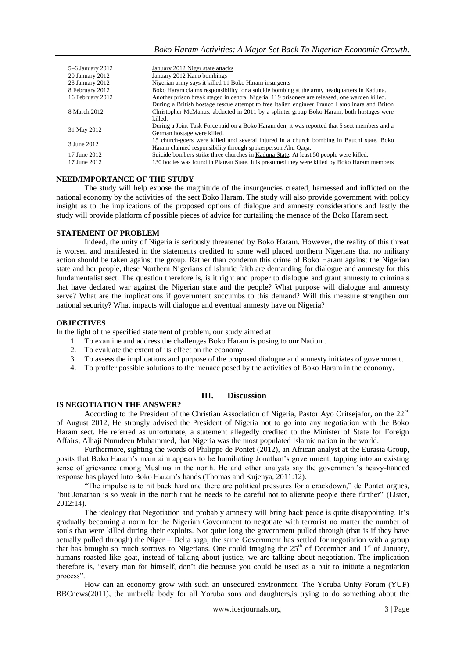| 5–6 January 2012<br>20 January 2012 | January 2012 Niger state attacks<br>January 2012 Kano bombings                                                               |
|-------------------------------------|------------------------------------------------------------------------------------------------------------------------------|
| 28 January 2012                     | Nigerian army says it killed 11 Boko Haram insurgents                                                                        |
| 8 February 2012                     | Boko Haram claims responsibility for a suicide bombing at the army headquarters in Kaduna.                                   |
| 16 February 2012                    | Another prison break staged in central Nigeria; 119 prisoners are released, one warden killed.                               |
| 8 March 2012                        | During a British hostage rescue attempt to free Italian engineer Franco Lamolinara and Briton                                |
|                                     | Christopher McManus, abducted in 2011 by a splinter group Boko Haram, both hostages were                                     |
|                                     | killed.                                                                                                                      |
| 31 May 2012                         | During a Joint Task Force raid on a Boko Haram den, it was reported that 5 sect members and a<br>German hostage were killed. |
| 3 June 2012                         | 15 church-goers were killed and several injured in a church bombing in Bauchi state. Boko                                    |
|                                     | Haram claimed responsibility through spokesperson Abu Qaqa.                                                                  |
| 17 June 2012                        | Suicide bombers strike three churches in Kaduna State. At least 50 people were killed.                                       |
| 17 June 2012                        | 130 bodies was found in Plateau State. It is presumed they were killed by Boko Haram members                                 |

#### **NEED/IMPORTANCE OF THE STUDY**

The study will help expose the magnitude of the insurgencies created, harnessed and inflicted on the national economy by the activities of the sect Boko Haram. The study will also provide government with policy insight as to the implications of the proposed options of dialogue and amnesty considerations and lastly the study will provide platform of possible pieces of advice for curtailing the menace of the Boko Haram sect.

#### **STATEMENT OF PROBLEM**

Indeed, the unity of Nigeria is seriously threatened by Boko Haram. However, the reality of this threat is worsen and manifested in the statements credited to some well placed northern Nigerians that no military action should be taken against the group. Rather than condemn this crime of Boko Haram against the Nigerian state and her people, these Northern Nigerians of Islamic faith are demanding for dialogue and amnesty for this fundamentalist sect. The question therefore is, is it right and proper to dialogue and grant amnesty to criminals that have declared war against the Nigerian state and the people? What purpose will dialogue and amnesty serve? What are the implications if government succumbs to this demand? Will this measure strengthen our national security? What impacts will dialogue and eventual amnesty have on Nigeria?

#### **OBJECTIVES**

In the light of the specified statement of problem, our study aimed at

- 1. To examine and address the challenges Boko Haram is posing to our Nation .
- 2. To evaluate the extent of its effect on the economy.
- 3. To assess the implications and purpose of the proposed dialogue and amnesty initiates of government.
- 4. To proffer possible solutions to the menace posed by the activities of Boko Haram in the economy.

#### **III. Discussion**

#### **IS NEGOTIATION THE ANSWER?**

According to the President of the Christian Association of Nigeria, Pastor Ayo Oritsejafor, on the 22nd of August 2012, He strongly advised the President of Nigeria not to go into any negotiation with the Boko Haram sect. He referred as unfortunate, a statement allegedly credited to the Minister of State for Foreign Affairs, Alhaji Nurudeen Muhammed, that Nigeria was the most populated Islamic nation in the world.

Furthermore, sighting the words of Philippe de Pontet (2012), an African analyst at the Eurasia Group, posits that Boko Haram's main aim appears to be humiliating Jonathan's government, tapping into an existing sense of grievance among Muslims in the north. He and other analysts say the government's heavy-handed response has played into Boko Haram's hands (Thomas and Kujenya, 2011:12).

"The impulse is to hit back hard and there are political pressures for a crackdown," de Pontet argues, "but Jonathan is so weak in the north that he needs to be careful not to alienate people there further" (Lister, 2012:14).

The ideology that Negotiation and probably amnesty will bring back peace is quite disappointing. It's gradually becoming a norm for the Nigerian Government to negotiate with terrorist no matter the number of souls that were killed during their exploits. Not quite long the government pulled through (that is if they have actually pulled through) the Niger – Delta saga, the same Government has settled for negotiation with a group that has brought so much sorrows to Nigerians. One could imaging the  $25<sup>th</sup>$  of December and  $1<sup>st</sup>$  of January, humans roasted like goat, instead of talking about justice, we are talking about negotiation. The implication therefore is, "every man for himself, don't die because you could be used as a bait to initiate a negotiation process".

How can an economy grow with such an unsecured environment. The Yoruba Unity Forum (YUF) BBCnews(2011), the umbrella body for all Yoruba sons and daughters,is trying to do something about the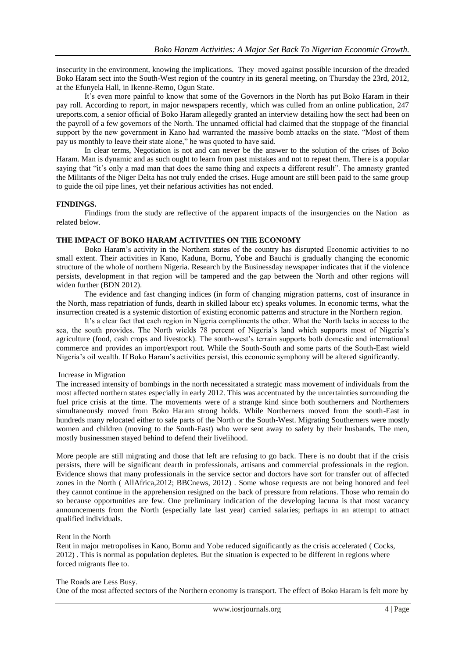insecurity in the environment, knowing the implications. They moved against possible incursion of the dreaded Boko Haram sect into the South-West region of the country in its general meeting, on Thursday the 23rd, 2012, at the Efunyela Hall, in Ikenne-Remo, Ogun State.

It's even more painful to know that some of the Governors in the North has put Boko Haram in their pay roll. According to report, in major newspapers recently, which was culled from an online publication, 247 ureports.com, a senior official of Boko Haram allegedly granted an interview detailing how the sect had been on the payroll of a few governors of the North. The unnamed official had claimed that the stoppage of the financial support by the new government in Kano had warranted the massive bomb attacks on the state. "Most of them pay us monthly to leave their state alone," he was quoted to have said.

In clear terms, Negotiation is not and can never be the answer to the solution of the crises of Boko Haram. Man is dynamic and as such ought to learn from past mistakes and not to repeat them. There is a popular saying that "it's only a mad man that does the same thing and expects a different result". The amnesty granted the Militants of the Niger Delta has not truly ended the crises. Huge amount are still been paid to the same group to guide the oil pipe lines, yet their nefarious activities has not ended.

## **FINDINGS.**

Findings from the study are reflective of the apparent impacts of the insurgencies on the Nation as related below.

#### **THE IMPACT OF BOKO HARAM ACTIVITIES ON THE ECONOMY**

Boko Haram's activity in the Northern states of the country has disrupted Economic activities to no small extent. Their activities in Kano, Kaduna, Bornu, Yobe and Bauchi is gradually changing the economic structure of the whole of northern Nigeria. Research by the Businessday newspaper indicates that if the violence persists, development in that region will be tampered and the gap between the North and other regions will widen further (BDN 2012).

The evidence and fast changing indices (in form of changing migration patterns, cost of insurance in the North, mass repatriation of funds, dearth in skilled labour etc) speaks volumes. In economic terms, what the insurrection created is a systemic distortion of existing economic patterns and structure in the Northern region.

It's a clear fact that each region in Nigeria compliments the other. What the North lacks in access to the sea, the south provides. The North wields 78 percent of Nigeria's land which supports most of Nigeria's agriculture (food, cash crops and livestock). The south-west's terrain supports both domestic and international commerce and provides an import/export rout. While the South-South and some parts of the South-East wield Nigeria's oil wealth. If Boko Haram's activities persist, this economic symphony will be altered significantly.

#### Increase in Migration

The increased intensity of bombings in the north necessitated a strategic mass movement of individuals from the most affected northern states especially in early 2012. This was accentuated by the uncertainties surrounding the fuel price crisis at the time. The movements were of a strange kind since both southerners and Northerners simultaneously moved from Boko Haram strong holds. While Northerners moved from the south-East in hundreds many relocated either to safe parts of the North or the South-West. Migrating Southerners were mostly women and children (moving to the South-East) who were sent away to safety by their husbands. The men, mostly businessmen stayed behind to defend their livelihood.

More people are still migrating and those that left are refusing to go back. There is no doubt that if the crisis persists, there will be significant dearth in professionals, artisans and commercial professionals in the region. Evidence shows that many professionals in the service sector and doctors have sort for transfer out of affected zones in the North ( AllAfrica,2012; BBCnews, 2012) . Some whose requests are not being honored and feel they cannot continue in the apprehension resigned on the back of pressure from relations. Those who remain do so because opportunities are few. One preliminary indication of the developing lacuna is that most vacancy announcements from the North (especially late last year) carried salaries; perhaps in an attempt to attract qualified individuals.

# Rent in the North

Rent in major metropolises in Kano, Bornu and Yobe reduced significantly as the crisis accelerated ( Cocks, 2012) . This is normal as population depletes. But the situation is expected to be different in regions where forced migrants flee to.

#### The Roads are Less Busy.

One of the most affected sectors of the Northern economy is transport. The effect of Boko Haram is felt more by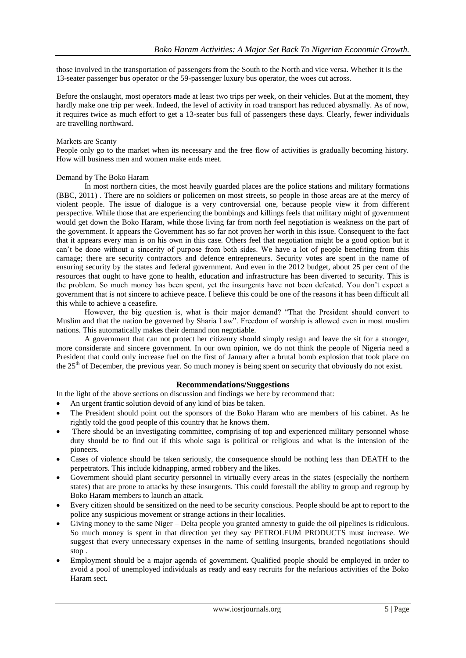those involved in the transportation of passengers from the South to the North and vice versa. Whether it is the 13-seater passenger bus operator or the 59-passenger luxury bus operator, the woes cut across.

Before the onslaught, most operators made at least two trips per week, on their vehicles. But at the moment, they hardly make one trip per week. Indeed, the level of activity in road transport has reduced abysmally. As of now, it requires twice as much effort to get a 13-seater bus full of passengers these days. Clearly, fewer individuals are travelling northward.

#### Markets are Scanty

People only go to the market when its necessary and the free flow of activities is gradually becoming history. How will business men and women make ends meet.

## Demand by The Boko Haram

In most northern cities, the most heavily guarded places are the police stations and military formations (BBC, 2011) . There are no soldiers or policemen on most streets, so people in those areas are at the mercy of violent people. The issue of dialogue is a very controversial one, because people view it from different perspective. While those that are experiencing the bombings and killings feels that military might of government would get down the Boko Haram, while those living far from north feel negotiation is weakness on the part of the government. It appears the Government has so far not proven her worth in this issue. Consequent to the fact that it appears every man is on his own in this case. Others feel that negotiation might be a good option but it can't be done without a sincerity of purpose from both sides. We have a lot of people benefiting from this carnage; there are security contractors and defence entrepreneurs. Security votes are spent in the name of ensuring security by the states and federal government. And even in the 2012 budget, about 25 per cent of the resources that ought to have gone to health, education and infrastructure has been diverted to security. This is the problem. So much money has been spent, yet the insurgents have not been defeated. You don't expect a government that is not sincere to achieve peace. I believe this could be one of the reasons it has been difficult all this while to achieve a ceasefire.

However, the big question is, what is their major demand? "That the President should convert to Muslim and that the nation be governed by Sharia Law". Freedom of worship is allowed even in most muslim nations. This automatically makes their demand non negotiable.

A government that can not protect her citizenry should simply resign and leave the sit for a stronger, more considerate and sincere government. In our own opinion, we do not think the people of Nigeria need a President that could only increase fuel on the first of January after a brutal bomb explosion that took place on the 25<sup>th</sup> of December, the previous year. So much money is being spent on security that obviously do not exist.

# **Recommendations/Suggestions**

In the light of the above sections on discussion and findings we here by recommend that:

- An urgent frantic solution devoid of any kind of bias be taken.
- The President should point out the sponsors of the Boko Haram who are members of his cabinet. As he rightly told the good people of this country that he knows them.
- There should be an investigating committee, comprising of top and experienced military personnel whose duty should be to find out if this whole saga is political or religious and what is the intension of the pioneers.
- Cases of violence should be taken seriously, the consequence should be nothing less than DEATH to the perpetrators. This include kidnapping, armed robbery and the likes.
- Government should plant security personnel in virtually every areas in the states (especially the northern states) that are prone to attacks by these insurgents. This could forestall the ability to group and regroup by Boko Haram members to launch an attack.
- Every citizen should be sensitized on the need to be security conscious. People should be apt to report to the police any suspicious movement or strange actions in their localities.
- Giving money to the same Niger Delta people you granted amnesty to guide the oil pipelines is ridiculous. So much money is spent in that direction yet they say PETROLEUM PRODUCTS must increase. We suggest that every unnecessary expenses in the name of settling insurgents, branded negotiations should stop .
- Employment should be a major agenda of government. Qualified people should be employed in order to avoid a pool of unemployed individuals as ready and easy recruits for the nefarious activities of the Boko Haram sect.